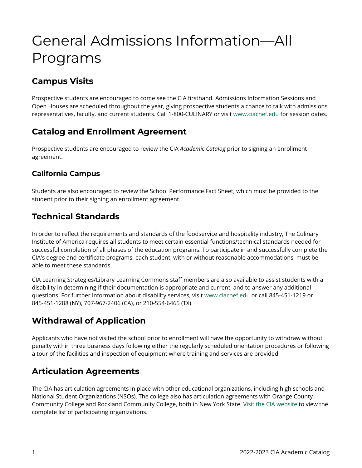# General Admissions Information—All Programs

# **Campus Visits**

Prospective students are encouraged to come see the CIA firsthand. Admissions Information Sessions and Open Houses are scheduled throughout the year, giving prospective students a chance to talk with admissions representatives, faculty, and current students. Call 1-800-CULINARY or visit [www.ciachef.edu](https://www.ciachef.edu/) for session dates.

### **Catalog and Enrollment Agreement**

Prospective students are encouraged to review the CIA *Academic Catalog* prior to signing an enrollment agreement.

### **California Campus**

Students are also encouraged to review the School Performance Fact Sheet, which must be provided to the student prior to their signing an enrollment agreement.

### **Technical Standards**

In order to reflect the requirements and standards of the foodservice and hospitality industry, The Culinary Institute of America requires all students to meet certain essential functions/technical standards needed for successful completion of all phases of the education programs. To participate in and successfully complete the CIA's degree and certificate programs, each student, with or without reasonable accommodations, must be able to meet these standards.

CIA Learning Strategies/Library Learning Commons staff members are also available to assist students with a disability in determining if their documentation is appropriate and current, and to answer any additional questions. For further information about disability services, visit [www.ciachef.edu](https://www.ciachef.edu/) or call 845-451-1219 or 845-451-1288 (NY), 707-967-2406 (CA), or 210-554-6465 (TX).

# **Withdrawal of Application**

Applicants who have not visited the school prior to enrollment will have the opportunity to withdraw without penalty within three business days following either the regularly scheduled orientation procedures or following a tour of the facilities and inspection of equipment where training and services are provided.

### **Articulation Agreements**

The CIA has articulation agreements in place with other educational organizations, including high schools and National Student Organizations (NSOs). The college also has articulation agreements with Orange County Community College and Rockland Community College, both in New York State. [Visit the CIA website](https://www.ciachef.edu/transfer-credit-policies) to view the complete list of participating organizations.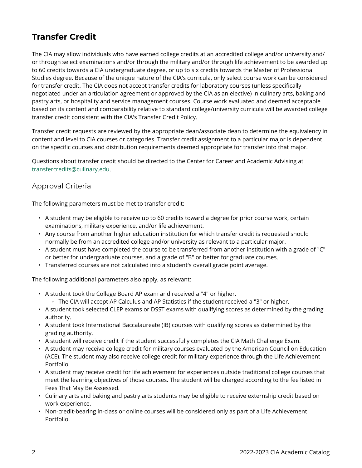# **Transfer Credit**

The CIA may allow individuals who have earned college credits at an accredited college and/or university and/ or through select examinations and/or through the military and/or through life achievement to be awarded up to 60 credits towards a CIA undergraduate degree, or up to six credits towards the Master of Professional Studies degree. Because of the unique nature of the CIA's curricula, only select course work can be considered for transfer credit. The CIA does not accept transfer credits for laboratory courses (unless specifically negotiated under an articulation agreement or approved by the CIA as an elective) in culinary arts, baking and pastry arts, or hospitality and service management courses. Course work evaluated and deemed acceptable based on its content and comparability relative to standard college/university curricula will be awarded college transfer credit consistent with the CIA's Transfer Credit Policy.

Transfer credit requests are reviewed by the appropriate dean/associate dean to determine the equivalency in content and level to CIA courses or categories. Transfer credit assignment to a particular major is dependent on the specific courses and distribution requirements deemed appropriate for transfer into that major.

Questions about transfer credit should be directed to the Center for Career and Academic Advising at [transfercredits@culinary.edu](mailto:transfercredits@culinary.edu).

### Approval Criteria

The following parameters must be met to transfer credit:

- A student may be eligible to receive up to 60 credits toward a degree for prior course work, certain examinations, military experience, and/or life achievement.
- Any course from another higher education institution for which transfer credit is requested should normally be from an accredited college and/or university as relevant to a particular major.
- A student must have completed the course to be transferred from another institution with a grade of "C" or better for undergraduate courses, and a grade of "B" or better for graduate courses.
- Transferred courses are not calculated into a student's overall grade point average.

The following additional parameters also apply, as relevant:

- A student took the College Board AP exam and received a "4" or higher. ◦ The CIA will accept AP Calculus and AP Statistics if the student received a "3" or higher.
- A student took selected CLEP exams or DSST exams with qualifying scores as determined by the grading authority.
- A student took International Baccalaureate (IB) courses with qualifying scores as determined by the grading authority.
- A student will receive credit if the student successfully completes the CIA Math Challenge Exam.
- A student may receive college credit for military courses evaluated by the American Council on Education (ACE). The student may also receive college credit for military experience through the Life Achievement Portfolio.
- A student may receive credit for life achievement for experiences outside traditional college courses that meet the learning objectives of those courses. The student will be charged according to the fee listed in Fees That May Be Assessed.
- Culinary arts and baking and pastry arts students may be eligible to receive externship credit based on work experience.
- Non-credit-bearing in-class or online courses will be considered only as part of a Life Achievement Portfolio.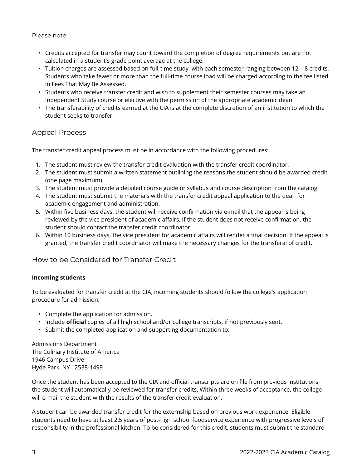Please note:

- Credits accepted for transfer may count toward the completion of degree requirements but are not calculated in a student's grade point average at the college.
- Tuition charges are assessed based on full-time study, with each semester ranging between 12–18 credits. Students who take fewer or more than the full-time course load will be charged according to the fee listed in Fees That May Be Assessed.
- Students who receive transfer credit and wish to supplement their semester courses may take an Independent Study course or elective with the permission of the appropriate academic dean.
- The transferability of credits earned at the CIA is at the complete discretion of an institution to which the student seeks to transfer.

### Appeal Process

The transfer credit appeal process must be in accordance with the following procedures:

- 1. The student must review the transfer credit evaluation with the transfer credit coordinator.
- 2. The student must submit a written statement outlining the reasons the student should be awarded credit (one page maximum).
- 3. The student must provide a detailed course guide or syllabus and course description from the catalog.
- 4. The student must submit the materials with the transfer credit appeal application to the dean for academic engagement and administration.
- 5. Within five business days, the student will receive confirmation via e-mail that the appeal is being reviewed by the vice president of academic affairs. If the student does not receive confirmation, the student should contact the transfer credit coordinator.
- 6. Within 10 business days, the vice president for academic affairs will render a final decision. If the appeal is granted, the transfer credit coordinator will make the necessary changes for the transferal of credit.

### How to be Considered for Transfer Credit

#### **Incoming students**

To be evaluated for transfer credit at the CIA, incoming students should follow the college's application procedure for admission:

- Complete the application for admission.
- Include **official** copies of all high school and/or college transcripts, if not previously sent.
- Submit the completed application and supporting documentation to:

Admissions Department The Culinary Institute of America 1946 Campus Drive Hyde Park, NY 12538-1499

Once the student has been accepted to the CIA and official transcripts are on file from previous institutions, the student will automatically be reviewed for transfer credits. Within three weeks of acceptance, the college will e-mail the student with the results of the transfer credit evaluation.

A student can be awarded transfer credit for the externship based on previous work experience. Eligible students need to have at least 2.5 years of post-high school foodservice experience with progressive levels of responsibility in the professional kitchen. To be considered for this credit, students must submit the standard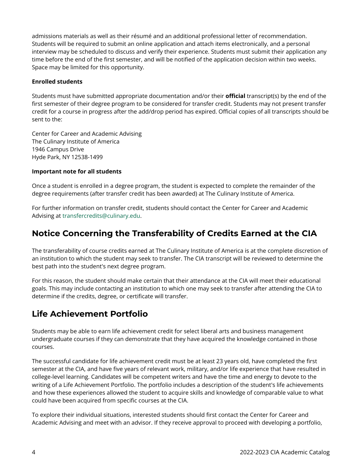admissions materials as well as their résumé and an additional professional letter of recommendation. Students will be required to submit an online application and attach items electronically, and a personal interview may be scheduled to discuss and verify their experience. Students must submit their application any time before the end of the first semester, and will be notified of the application decision within two weeks. Space may be limited for this opportunity.

#### **Enrolled students**

Students must have submitted appropriate documentation and/or their **official** transcript(s) by the end of the first semester of their degree program to be considered for transfer credit. Students may not present transfer credit for a course in progress after the add/drop period has expired. Official copies of all transcripts should be sent to the:

Center for Career and Academic Advising The Culinary Institute of America 1946 Campus Drive Hyde Park, NY 12538-1499

#### **Important note for all students**

Once a student is enrolled in a degree program, the student is expected to complete the remainder of the degree requirements (after transfer credit has been awarded) at The Culinary Institute of America.

For further information on transfer credit, students should contact the Center for Career and Academic Advising at [transfercredits@culinary.edu](mailto:transfercredits@culinary.edu).

### **Notice Concerning the Transferability of Credits Earned at the CIA**

The transferability of course credits earned at The Culinary Institute of America is at the complete discretion of an institution to which the student may seek to transfer. The CIA transcript will be reviewed to determine the best path into the student's next degree program.

For this reason, the student should make certain that their attendance at the CIA will meet their educational goals. This may include contacting an institution to which one may seek to transfer after attending the CIA to determine if the credits, degree, or certificate will transfer.

### **Life Achievement Portfolio**

Students may be able to earn life achievement credit for select liberal arts and business management undergraduate courses if they can demonstrate that they have acquired the knowledge contained in those courses.

The successful candidate for life achievement credit must be at least 23 years old, have completed the first semester at the CIA, and have five years of relevant work, military, and/or life experience that have resulted in college-level learning. Candidates will be competent writers and have the time and energy to devote to the writing of a Life Achievement Portfolio. The portfolio includes a description of the student's life achievements and how these experiences allowed the student to acquire skills and knowledge of comparable value to what could have been acquired from specific courses at the CIA.

To explore their individual situations, interested students should first contact the Center for Career and Academic Advising and meet with an advisor. If they receive approval to proceed with developing a portfolio,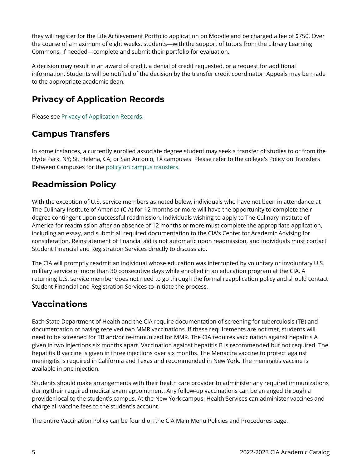they will register for the Life Achievement Portfolio application on Moodle and be charged a fee of \$750. Over the course of a maximum of eight weeks, students—with the support of tutors from the Library Learning Commons, if needed—complete and submit their portfolio for evaluation.

A decision may result in an award of credit, a denial of credit requested, or a request for additional information. Students will be notified of the decision by the transfer credit coordinator. Appeals may be made to the appropriate academic dean.

### **Privacy of Application Records**

Please see [Privacy of Application Records](https://live-cia-catalog22.cleancatalog.io/privacy-of-application-records).

## **Campus Transfers**

In some instances, a currently enrolled associate degree student may seek a transfer of studies to or from the Hyde Park, NY; St. Helena, CA; or San Antonio, TX campuses. Please refer to the college's Policy on Transfers Between Campuses for the [policy on campus transfers.](https://live-cia-catalog22.cleancatalog.io/transfers-between-campuses)

### **Readmission Policy**

With the exception of U.S. service members as noted below, individuals who have not been in attendance at The Culinary Institute of America (CIA) for 12 months or more will have the opportunity to complete their degree contingent upon successful readmission. Individuals wishing to apply to The Culinary Institute of America for readmission after an absence of 12 months or more must complete the appropriate application, including an essay, and submit all required documentation to the CIA's Center for Academic Advising for consideration. Reinstatement of financial aid is not automatic upon readmission, and individuals must contact Student Financial and Registration Services directly to discuss aid.

The CIA will promptly readmit an individual whose education was interrupted by voluntary or involuntary U.S. military service of more than 30 consecutive days while enrolled in an education program at the CIA. A returning U.S. service member does not need to go through the formal reapplication policy and should contact Student Financial and Registration Services to initiate the process.

### **Vaccinations**

Each State Department of Health and the CIA require documentation of screening for tuberculosis (TB) and documentation of having received two MMR vaccinations. If these requirements are not met, students will need to be screened for TB and/or re-immunized for MMR. The CIA requires vaccination against hepatitis A given in two injections six months apart. Vaccination against hepatitis B is recommended but not required. The hepatitis B vaccine is given in three injections over six months. The Menactra vaccine to protect against meningitis is required in California and Texas and recommended in New York. The meningitis vaccine is available in one injection.

Students should make arrangements with their health care provider to administer any required immunizations during their required medical exam appointment. Any follow-up vaccinations can be arranged through a provider local to the student's campus. At the New York campus, Health Services can administer vaccines and charge all vaccine fees to the student's account.

The entire Vaccination Policy can be found on the CIA Main Menu Policies and Procedures page.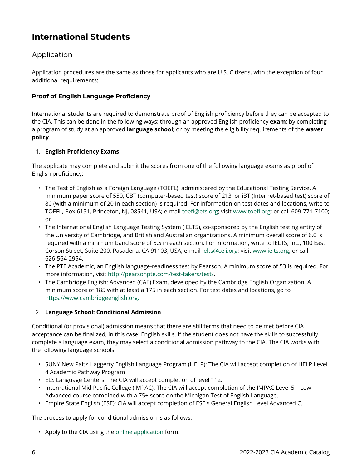# **International Students**

### Application

Application procedures are the same as those for applicants who are U.S. Citizens, with the exception of four additional requirements:

### **Proof of English Language Proficiency**

International students are required to demonstrate proof of English proficiency before they can be accepted to the CIA. This can be done in the following ways: through an approved English proficiency **exam**; by completing a program of study at an approved **language school**; or by meeting the eligibility requirements of the **waver policy**.

#### 1. **English Proficiency Exams**

The applicate may complete and submit the scores from one of the following language exams as proof of English proficiency:

- The Test of English as a Foreign Language (TOEFL), administered by the Educational Testing Service. A minimum paper score of 550, CBT (computer-based test) score of 213, or iBT (Internet-based test) score of 80 (with a minimum of 20 in each section) is required. For information on test dates and locations, write to TOEFL, Box 6151, Princeton, NJ, 08541, USA; e-mail [toefl@ets.org;](mailto:toefl@ets.org) visit [www.toefl.org;](http://www.toefl.org/) or call 609-771-7100; or
- The International English Language Testing System (IELTS), co-sponsored by the English testing entity of the University of Cambridge, and British and Australian organizations. A minimum overall score of 6.0 is required with a minimum band score of 5.5 in each section. For information, write to IELTS, Inc., 100 East Corson Street, Suite 200, Pasadena, CA 91103, USA; e-mail [ielts@ceii.org](mailto:ielts@ceii.org); visit [www.ielts.org](http://www.ielts.org/); or call 626-564-2954.
- The PTE Academic, an English language-readiness test by Pearson. A minimum score of 53 is required. For more information, visit [http://pearsonpte.com/test-takers/test/.](http://pearsonpte.com/test-takers/test/)
- The Cambridge English: Advanced (CAE) Exam, developed by the Cambridge English Organization. A minimum score of 185 with at least a 175 in each section. For test dates and locations, go to [https://www.cambridgeenglish.org.](https://www.cambridgeenglish.org/)

#### 2. **Language School: Conditional Admission**

Conditional (or provisional) admission means that there are still terms that need to be met before CIA acceptance can be finalized, in this case: English skills. If the student does not have the skills to successfully complete a language exam, they may select a conditional admission pathway to the CIA. The CIA works with the following language schools:

- SUNY New Paltz Haggerty English Language Program (HELP): The CIA will accept completion of HELP Level 4 Academic Pathway Program
- ELS Language Centers: The CIA will accept completion of level 112.
- International Mid Pacific College (IMPAC): The CIA will accept completion of the IMPAC Level 5—Low Advanced course combined with a 75+ score on the Michigan Test of English Language.
- Empire State English (ESE): CIA will accept completion of ESE's General English Level Advanced C.

The process to apply for conditional admission is as follows:

• Apply to the CIA using the [online application](https://www.ciachef.edu/how-to-apply-to-cia/) form.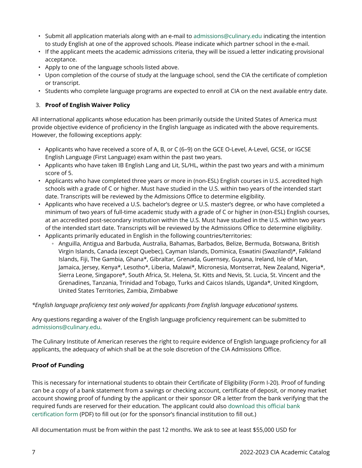- Submit all application materials along with an e-mail to [admissions@culinary.edu](mailto:admissions@culinary.edu) indicating the intention to study English at one of the approved schools. Please indicate which partner school in the e-mail.
- If the applicant meets the academic admissions criteria, they will be issued a letter indicating provisional acceptance.
- Apply to one of the language schools listed above.
- Upon completion of the course of study at the language school, send the CIA the certificate of completion or transcript.
- Students who complete language programs are expected to enroll at CIA on the next available entry date.

#### 3. **Proof of English Waiver Policy**

All international applicants whose education has been primarily outside the United States of America must provide objective evidence of proficiency in the English language as indicated with the above requirements. However, the following exceptions apply:

- Applicants who have received a score of A, B, or C (6–9) on the GCE O-Level, A-Level, GCSE, or IGCSE English Language (First Language) exam within the past two years.
- Applicants who have taken IB English Lang and Lit, SL/HL, within the past two years and with a minimum score of 5.
- Applicants who have completed three years or more in (non-ESL) English courses in U.S. accredited high schools with a grade of C or higher. Must have studied in the U.S. within two years of the intended start date. Transcripts will be reviewed by the Admissions Office to determine eligibility.
- Applicants who have received a U.S. bachelor's degree or U.S. master's degree, or who have completed a minimum of two years of full-time academic study with a grade of C or higher in (non-ESL) English courses, at an accredited post-secondary institution within the U.S. Must have studied in the U.S. within two years of the intended start date. Transcripts will be reviewed by the Admissions Office to determine eligibility.
- Applicants primarily educated in English in the following countries/territories:
	- Anguilla, Antigua and Barbuda, Australia, Bahamas, Barbados, Belize, Bermuda, Botswana, British Virgin Islands, Canada (except Quebec), Cayman Islands, Dominica, Eswatini (Swaziland)\*, Falkland Islands, Fiji, The Gambia, Ghana\*, Gibraltar, Grenada, Guernsey, Guyana, Ireland, Isle of Man, Jamaica, Jersey, Kenya\*, Lesotho\*, Liberia, Malawi\*, Micronesia, Montserrat, New Zealand, Nigeria\*, Sierra Leone, Singapore\*, South Africa, St. Helena, St. Kitts and Nevis, St. Lucia, St. Vincent and the Grenadines, Tanzania, Trinidad and Tobago, Turks and Caicos Islands, Uganda\*, United Kingdom, United States Territories, Zambia, Zimbabwe

#### *\*English language proficiency test only waived for applicants from English language educational systems.*

Any questions regarding a waiver of the English language proficiency requirement can be submitted to [admissions@culinary.edu.](mailto:admissions@culinary.edu)

The Culinary Institute of American reserves the right to require evidence of English language proficiency for all applicants, the adequacy of which shall be at the sole discretion of the CIA Admissions Office.

#### **Proof of Funding**

This is necessary for international students to obtain their Certificate of Eligibility (Form I-20). Proof of funding can be a copy of a bank statement from a savings or checking account, certificate of deposit, or money market account showing proof of funding by the applicant or their sponsor OR a letter from the bank verifying that the required funds are reserved for their education. The applicant could also [download this official bank](https://www.ciachef.edu/uploadedFiles/Pages/Admissions_and_Financial_Aid/International_Students/official-cia-bank-certification.pdf)  [certification form](https://www.ciachef.edu/uploadedFiles/Pages/Admissions_and_Financial_Aid/International_Students/official-cia-bank-certification.pdf) (PDF) to fill out (or for the sponsor's financial institution to fill out.)

All documentation must be from within the past 12 months. We ask to see at least \$55,000 USD for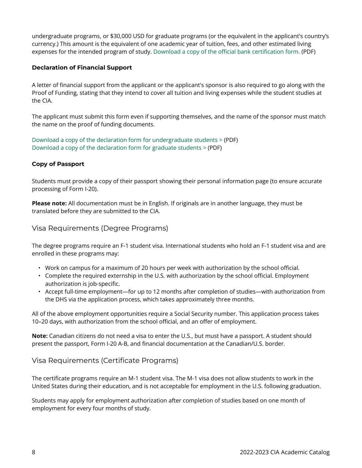undergraduate programs, or \$30,000 USD for graduate programs (or the equivalent in the applicant's country's currency.) This amount is the equivalent of one academic year of tuition, fees, and other estimated living expenses for the intended program of study. [Download a copy of the official bank certification form.](https://www.ciachef.edu/uploadedFiles/Pages/Admissions_and_Financial_Aid/International_Students/official-cia-bank-certification.pdf) (PDF)

#### **Declaration of Financial Support**

A letter of financial support from the applicant or the applicant's sponsor is also required to go along with the Proof of Funding, stating that they intend to cover all tuition and living expenses while the student studies at the CIA.

The applicant must submit this form even if supporting themselves, and the name of the sponsor must match the name on the proof of funding documents.

[Download a copy of the declaration form for undergraduate students >](https://www.ciachef.edu/uploadedFiles/Pages/Admissions_and_Financial_Aid/International_Students/declaration-financial-intent-undergrad.pdf) (PDF) [Download a copy of the declaration form for graduate students >](https://www.ciachef.edu/uploadedFiles/Pages/Admissions_and_Financial_Aid/International_Students/declaration-financial-intent-grad.pdf) (PDF)

#### **Copy of Passport**

Students must provide a copy of their passport showing their personal information page (to ensure accurate processing of Form I-20).

**Please note:** All documentation must be in English. If originals are in another language, they must be translated before they are submitted to the CIA.

### Visa Requirements (Degree Programs)

The degree programs require an F-1 student visa. International students who hold an F-1 student visa and are enrolled in these programs may:

- Work on campus for a maximum of 20 hours per week with authorization by the school official.
- Complete the required externship in the U.S. with authorization by the school official. Employment authorization is job-specific.
- Accept full-time employment—for up to 12 months after completion of studies—with authorization from the DHS via the application process, which takes approximately three months.

All of the above employment opportunities require a Social Security number. This application process takes 10–20 days, with authorization from the school official, and an offer of employment.

**Note:** Canadian citizens do not need a visa to enter the U.S., but must have a passport. A student should present the passport, Form I-20 A-B, and financial documentation at the Canadian/U.S. border.

#### Visa Requirements (Certificate Programs)

The certificate programs require an M-1 student visa. The M-1 visa does not allow students to work in the United States during their education, and is not acceptable for employment in the U.S. following graduation.

Students may apply for employment authorization after completion of studies based on one month of employment for every four months of study.